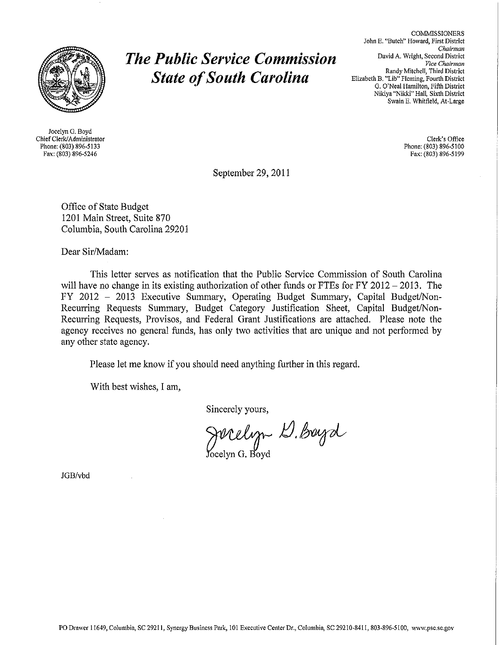

Joeelyn G. Boyd Chief Clerk/Administrator Phone: (803) 896-5133 Fax: (803) 896-5246

# *The Public Service Commission State of South Carolina*

COMMISSIONERS John **E.** "Butch" Howard, First District *Chairman* David A. Wright, Second District *Vice Chairman* Randy Mitchell, Third District Elizabeth B. "Lib" Fleming, Fourth District G. O'Neal Hamilton, Fifth District Nikiya "Nikki" Hall, Sixth District Swain E. Whitfield, *At-Large*

> Clerk's Office Phone: (803) 896-5100 Fax: (803) 896-5199

September 29, 2011

Office of State Budget 1201 Main Street, Suite 870 Columbia, South Carolina 29201

Dear Sir/Madam:

This letter serves as notification that **the Public** Service Commission of South Carolina will have no change in its existing authorization of other funds or FTEs for FY 2012 - 2013. The FY 2012 - 2013 Executive Summary, Operating Budget Summary, Capital Budget/Non-Recurring Requests Summary, Budget Category Justification Sheet, Capital Budget/Non-Recurring Requests, Provisos, and Federal Grant Justifications are attached. Please note the agency receives no general funds, has only two activities that are unique and not performed by any other state agency.

Please let me know if you should need anything further in this regard.

With best wishes, I am,

Sincerely yours,

Jucelyn D. Buyd

JGB/vbd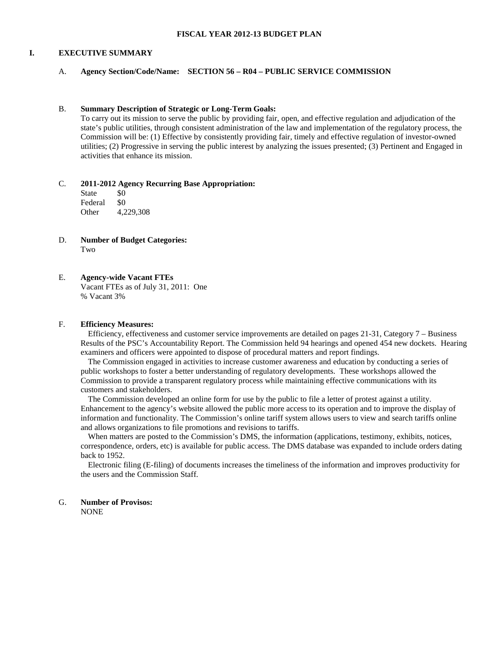#### **FISCAL YEAR 2012-13 BUDGET PLAN**

#### **I. EXECUTIVE SUMMARY**

#### A. **Agency Section/Code/Name: SECTION 56 – R04 – PUBLIC SERVICE COMMISSION**

#### B. **Summary Description of Strategic or Long-Term Goals:**

To carry out its mission to serve the public by providing fair, open, and effective regulation and adjudication of the state's public utilities, through consistent administration of the law and implementation of the regulatory process, the Commission will be: (1) Effective by consistently providing fair, timely and effective regulation of investor-owned utilities; (2) Progressive in serving the public interest by analyzing the issues presented; (3) Pertinent and Engaged in activities that enhance its mission.

#### C. **2011-2012 Agency Recurring Base Appropriation:**

State \$0 Federal \$0<br>Other 4.2 Other 4,229,308

D. **Number of Budget Categories:** Two

# E. **Agency-wide Vacant FTEs**

Vacant FTEs as of July 31, 2011: One % Vacant 3%

#### F. **Efficiency Measures:**

Efficiency, effectiveness and customer service improvements are detailed on pages 21-31, Category 7 – Business Results of the PSC's Accountability Report. The Commission held 94 hearings and opened 454 new dockets. Hearing examiners and officers were appointed to dispose of procedural matters and report findings.

The Commission engaged in activities to increase customer awareness and education by conducting a series of public workshops to foster a better understanding of regulatory developments. These workshops allowed the Commission to provide a transparent regulatory process while maintaining effective communications with its customers and stakeholders.

The Commission developed an online form for use by the public to file a letter of protest against a utility. Enhancement to the agency's website allowed the public more access to its operation and to improve the display of information and functionality. The Commission's online tariff system allows users to view and search tariffs online and allows organizations to file promotions and revisions to tariffs.

When matters are posted to the Commission's DMS, the information (applications, testimony, exhibits, notices, correspondence, orders, etc) is available for public access. The DMS database was expanded to include orders dating back to 1952.

Electronic filing (E-filing) of documents increases the timeliness of the information and improves productivity for the users and the Commission Staff.

#### G. **Number of Provisos:** NONE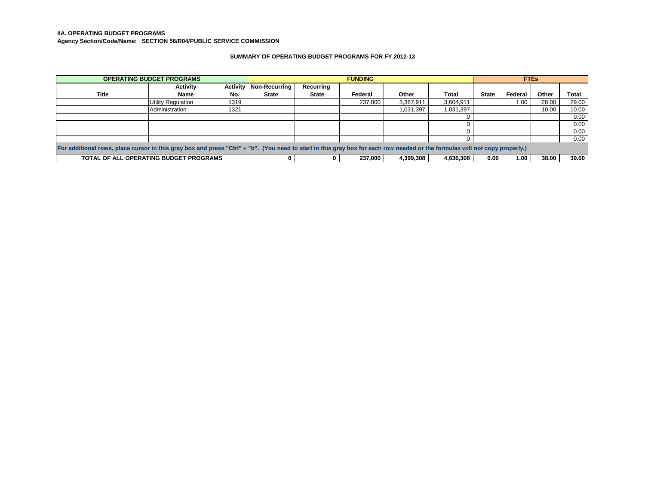#### **IIA. OPERATING BUDGET PROGRAMS**

**Agency Section/Code/Name: SECTION 56/R04/PUBLIC SERVICE COMMISSION**

#### **SUMMARY OF OPERATING BUDGET PROGRAMS FOR FY 2012-13**

| <b>OPERATING BUDGET PROGRAMS</b>                                                                                                                                            |                    |                 | <b>FUNDING</b>       |              |         |           |           | <b>FTEs</b>  |         |       |       |
|-----------------------------------------------------------------------------------------------------------------------------------------------------------------------------|--------------------|-----------------|----------------------|--------------|---------|-----------|-----------|--------------|---------|-------|-------|
|                                                                                                                                                                             | Activity           | <b>Activity</b> | <b>Non-Recurring</b> | Recurring    |         |           |           |              |         |       |       |
| Title                                                                                                                                                                       | <b>Name</b>        | No.             | <b>State</b>         | <b>State</b> | Federal | Other     | Total     | <b>State</b> | Federal | Other | Total |
|                                                                                                                                                                             | Utility Regulation | 1319            |                      |              | 237.000 | 3.367.911 | 3,604,911 |              | 1.00    | 28.00 | 29.00 |
|                                                                                                                                                                             | Administration     | 1321            |                      |              |         | 1,031,397 | 1,031,397 |              |         | 10.00 | 10.00 |
|                                                                                                                                                                             |                    |                 |                      |              |         |           |           |              |         |       | 0.00  |
|                                                                                                                                                                             |                    |                 |                      |              |         |           |           |              |         |       | 0.00  |
|                                                                                                                                                                             |                    |                 |                      |              |         |           |           |              |         |       | 0.00  |
|                                                                                                                                                                             |                    |                 |                      |              |         |           |           |              |         |       | 0.00  |
| For additional rows, place cursor in this gray box and press "Ctrl" + "b". (You need to start in this gray box for each row needed or the formulas will not copy properly.) |                    |                 |                      |              |         |           |           |              |         |       |       |
| TOTAL OF ALL OPERATING BUDGET PROGRAMS<br>237.000<br>4.636.308<br>4.399.308<br>0.00                                                                                         |                    |                 |                      | 1.00         | 38.00   | 39.00     |           |              |         |       |       |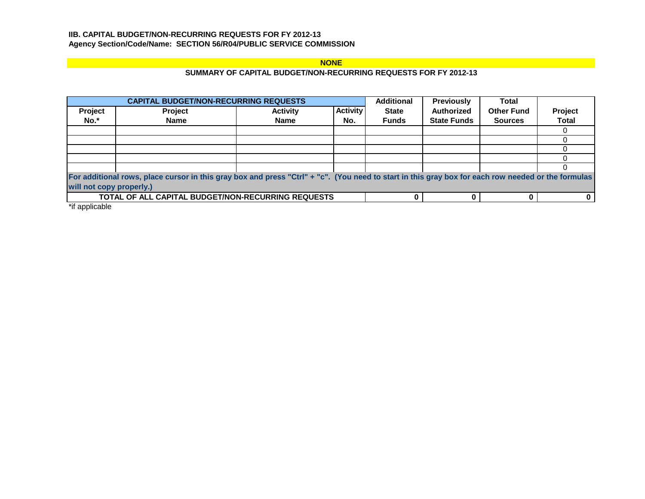# **IIB. CAPITAL BUDGET/NON-RECURRING REQUESTS FOR FY 2012-13 Agency Section/Code/Name: SECTION 56/R04/PUBLIC SERVICE COMMISSION**

# **NONE**

# **SUMMARY OF CAPITAL BUDGET/NON-RECURRING REQUESTS FOR FY 2012-13**

|         | <b>CAPITAL BUDGET/NON-RECURRING REQUESTS</b>                                                                                                       |                 |                 | <b>Additional</b> | <b>Previously</b>  | <b>Total</b>      |              |
|---------|----------------------------------------------------------------------------------------------------------------------------------------------------|-----------------|-----------------|-------------------|--------------------|-------------------|--------------|
| Project | <b>Project</b>                                                                                                                                     | <b>Activity</b> | <b>Activity</b> | <b>State</b>      | <b>Authorized</b>  | <b>Other Fund</b> | Project      |
| No.*    | <b>Name</b>                                                                                                                                        | <b>Name</b>     | No.             | <b>Funds</b>      | <b>State Funds</b> | <b>Sources</b>    | <b>Total</b> |
|         |                                                                                                                                                    |                 |                 |                   |                    |                   |              |
|         |                                                                                                                                                    |                 |                 |                   |                    |                   |              |
|         |                                                                                                                                                    |                 |                 |                   |                    |                   |              |
|         |                                                                                                                                                    |                 |                 |                   |                    |                   |              |
|         |                                                                                                                                                    |                 |                 |                   |                    |                   |              |
|         | For additional rows, place cursor in this gray box and press "Ctrl" + "c". (You need to start in this gray box for each row needed or the formulas |                 |                 |                   |                    |                   |              |
|         | will not copy properly.)                                                                                                                           |                 |                 |                   |                    |                   |              |
|         | <b>TOTAL OF ALL CAPITAL BUDGET/NON-RECURRING REQUESTS</b>                                                                                          |                 |                 |                   |                    |                   |              |

\*if applicable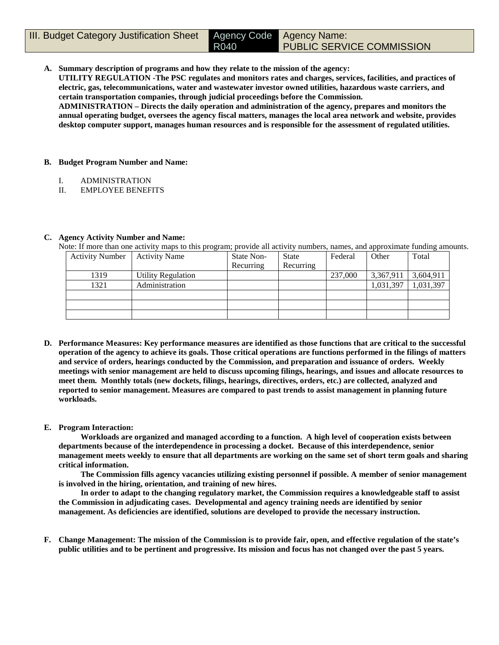**A. Summary description of programs and how they relate to the mission of the agency:**

R040

**UTILITY REGULATION -The PSC regulates and monitors rates and charges, services, facilities, and practices of electric, gas, telecommunications, water and wastewater investor owned utilities, hazardous waste carriers, and certain transportation companies, through judicial proceedings before the Commission.**

**ADMINISTRATION – Directs the daily operation and administration of the agency, prepares and monitors the annual operating budget, oversees the agency fiscal matters, manages the local area network and website, provides desktop computer support, manages human resources and is responsible for the assessment of regulated utilities.**

## **B. Budget Program Number and Name:**

- I. ADMINISTRATION
- II. EMPLOYEE BENEFITS

## **C. Agency Activity Number and Name:**

Note: If more than one activity maps to this program; provide all activity numbers, names, and approximate funding amounts.

| <b>Activity Number</b> | <b>Activity Name</b> | State Non- | <b>State</b> | Federal | Other     | Total     |
|------------------------|----------------------|------------|--------------|---------|-----------|-----------|
|                        |                      | Recurring  | Recurring    |         |           |           |
| 1319                   | Utility Regulation   |            |              | 237,000 | 3,367,911 | 3,604,911 |
| 1321                   | Administration       |            |              |         | 1,031,397 | 1,031,397 |
|                        |                      |            |              |         |           |           |
|                        |                      |            |              |         |           |           |
|                        |                      |            |              |         |           |           |

**D. Performance Measures: Key performance measures are identified as those functions that are critical to the successful operation of the agency to achieve its goals. Those critical operations are functions performed in the filings of matters and service of orders, hearings conducted by the Commission, and preparation and issuance of orders. Weekly meetings with senior management are held to discuss upcoming filings, hearings, and issues and allocate resources to meet them. Monthly totals (new dockets, filings, hearings, directives, orders, etc.) are collected, analyzed and reported to senior management. Measures are compared to past trends to assist management in planning future workloads.** 

## **E. Program Interaction:**

**Workloads are organized and managed according to a function. A high level of cooperation exists between departments because of the interdependence in processing a docket. Because of this interdependence, senior management meets weekly to ensure that all departments are working on the same set of short term goals and sharing critical information.** 

**The Commission fills agency vacancies utilizing existing personnel if possible. A member of senior management is involved in the hiring, orientation, and training of new hires.**

**In order to adapt to the changing regulatory market, the Commission requires a knowledgeable staff to assist the Commission in adjudicating cases. Developmental and agency training needs are identified by senior management. As deficiencies are identified, solutions are developed to provide the necessary instruction.**

**F. Change Management: The mission of the Commission is to provide fair, open, and effective regulation of the state's public utilities and to be pertinent and progressive. Its mission and focus has not changed over the past 5 years.**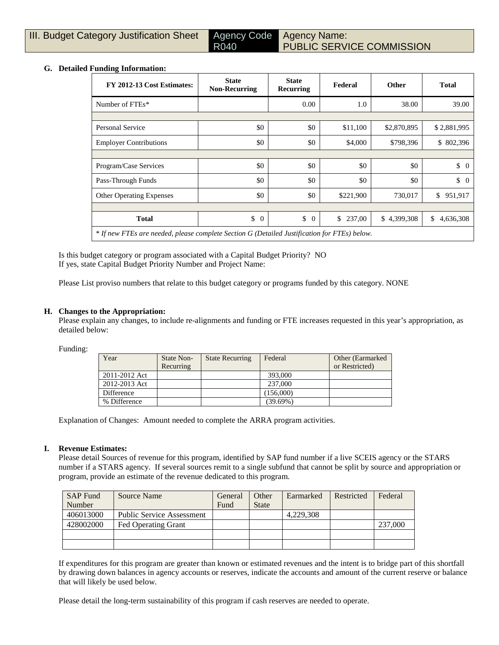## **G. Detailed Funding Information:**

| FY 2012-13 Cost Estimates:                                                                   | <b>State</b><br><b>Non-Recurring</b> | <b>State</b><br>Recurring | Federal      | <b>Other</b> | <b>Total</b>         |
|----------------------------------------------------------------------------------------------|--------------------------------------|---------------------------|--------------|--------------|----------------------|
| Number of FTEs*                                                                              |                                      | 0.00                      | 1.0          | 38.00        | 39.00                |
|                                                                                              |                                      |                           |              |              |                      |
| <b>Personal Service</b>                                                                      | \$0                                  | \$0                       | \$11,100     | \$2,870,895  | \$2,881,995          |
| <b>Employer Contributions</b>                                                                | \$0                                  | \$0                       | \$4,000      | \$798,396    | \$802,396            |
|                                                                                              |                                      |                           |              |              |                      |
| Program/Case Services                                                                        | \$0                                  | \$0                       | \$0          | \$0          | \$<br>$\overline{0}$ |
| Pass-Through Funds                                                                           | \$0                                  | \$0                       | \$0          | \$0          | $\updownarrow$ 0     |
| <b>Other Operating Expenses</b>                                                              | \$0                                  | \$0                       | \$221,900    | 730,017      | 951,917<br>\$        |
|                                                                                              |                                      |                           |              |              |                      |
| <b>Total</b>                                                                                 | \$<br>$\theta$                       | \$<br>$\overline{0}$      | \$<br>237,00 | \$4,399,308  | \$<br>4,636,308      |
| * If new FTEs are needed, please complete Section G (Detailed Justification for FTEs) below. |                                      |                           |              |              |                      |

Is this budget category or program associated with a Capital Budget Priority? NO If yes, state Capital Budget Priority Number and Project Name:

Please List proviso numbers that relate to this budget category or programs funded by this category. NONE

R040

## **H. Changes to the Appropriation:**

Please explain any changes, to include re-alignments and funding or FTE increases requested in this year's appropriation, as detailed below:

Funding:

| Year          | State Non-<br>Recurring | <b>State Recurring</b> | Federal     | Other (Earmarked)<br>or Restricted) |
|---------------|-------------------------|------------------------|-------------|-------------------------------------|
| 2011-2012 Act |                         |                        | 393,000     |                                     |
| 2012-2013 Act |                         |                        | 237,000     |                                     |
| Difference    |                         |                        | (156,000)   |                                     |
| % Difference  |                         |                        | $(39.69\%)$ |                                     |

Explanation of Changes: Amount needed to complete the ARRA program activities.

#### **I. Revenue Estimates:**

Please detail Sources of revenue for this program, identified by SAP fund number if a live SCEIS agency or the STARS number if a STARS agency. If several sources remit to a single subfund that cannot be split by source and appropriation or program, provide an estimate of the revenue dedicated to this program.

| <b>SAP Fund</b> | Source Name                      | General | Other        | Earmarked | Restricted | Federal |
|-----------------|----------------------------------|---------|--------------|-----------|------------|---------|
| Number          |                                  | Fund    | <b>State</b> |           |            |         |
| 406013000       | <b>Public Service Assessment</b> |         |              | 4.229.308 |            |         |
| 428002000       | <b>Fed Operating Grant</b>       |         |              |           |            | 237,000 |
|                 |                                  |         |              |           |            |         |
|                 |                                  |         |              |           |            |         |

If expenditures for this program are greater than known or estimated revenues and the intent is to bridge part of this shortfall by drawing down balances in agency accounts or reserves, indicate the accounts and amount of the current reserve or balance that will likely be used below.

Please detail the long-term sustainability of this program if cash reserves are needed to operate.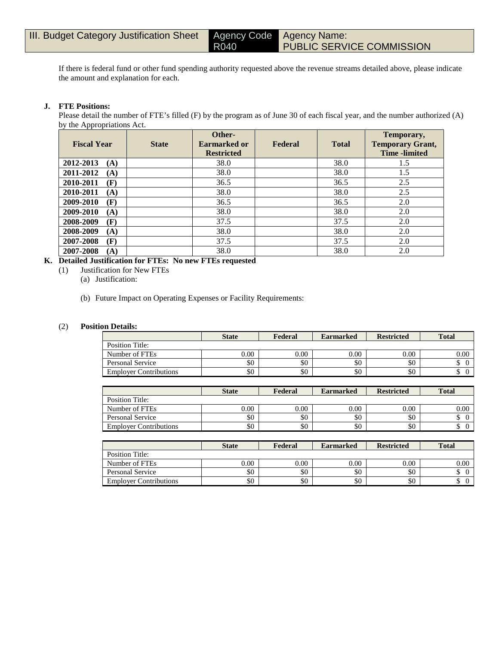If there is federal fund or other fund spending authority requested above the revenue streams detailed above, please indicate the amount and explanation for each.

R040

## **J. FTE Positions:**

Please detail the number of FTE's filled (F) by the program as of June 30 of each fiscal year, and the number authorized (A) by the Appropriations Act.

| <b>Fiscal Year</b> | <b>State</b> | Other-<br><b>Earmarked or</b><br><b>Restricted</b> | Federal | <b>Total</b> | Temporary,<br><b>Temporary Grant,</b><br><b>Time</b> -limited |
|--------------------|--------------|----------------------------------------------------|---------|--------------|---------------------------------------------------------------|
| 2012-2013<br>(A)   |              | 38.0                                               |         | 38.0         | 1.5                                                           |
| 2011-2012<br>(A)   |              | 38.0                                               |         | 38.0         | 1.5                                                           |
| 2010-2011<br>(F)   |              | 36.5                                               |         | 36.5         | 2.5                                                           |
| 2010-2011<br>(A)   |              | 38.0                                               |         | 38.0         | 2.5                                                           |
| 2009-2010<br>(F)   |              | 36.5                                               |         | 36.5         | 2.0                                                           |
| 2009-2010<br>(A)   |              | 38.0                                               |         | 38.0         | 2.0                                                           |
| 2008-2009<br>(F)   |              | 37.5                                               |         | 37.5         | 2.0                                                           |
| 2008-2009<br>(A)   |              | 38.0                                               |         | 38.0         | 2.0                                                           |
| 2007-2008<br>(F)   |              | 37.5                                               |         | 37.5         | 2.0                                                           |
| 2007-2008<br>(A)   |              | 38.0                                               |         | 38.0         | 2.0                                                           |

# **K. Detailed Justification for FTEs: No new FTEs requested**

- (1) Justification for New FTEs
	- (a) Justification:
	- (b) Future Impact on Operating Expenses or Facility Requirements:

#### (2) **Position Details:**

|                               | <b>State</b> | Federal | <b>Earmarked</b> | <b>Restricted</b> | <b>Total</b>    |
|-------------------------------|--------------|---------|------------------|-------------------|-----------------|
| Position Title:               |              |         |                  |                   |                 |
| Number of FTEs                | 0.00         | 0.00    | 0.00             | 0.00              | 0.00            |
| Personal Service              | \$0          | \$0     | \$0              | \$0               | $\Omega$<br>D   |
| <b>Employer Contributions</b> | \$0          | \$0     | \$0              | \$0               | $\sqrt{2}$<br>Φ |

|                               | <b>State</b> | Federal | <b>Earmarked</b> | <b>Restricted</b> | <b>Total</b> |
|-------------------------------|--------------|---------|------------------|-------------------|--------------|
| Position Title:               |              |         |                  |                   |              |
| Number of FTEs                | 0.00         | 0.00    | 0.00             | $0.00\,$          | 0.00         |
| Personal Service              | \$0          | \$0     | \$0              | \$0               | $\sim$<br>Φ  |
| <b>Employer Contributions</b> | \$0          | \$0     | \$0              | \$0               | ⌒<br>◡       |

|                               | <b>State</b> | Federal | <b>Earmarked</b> | <b>Restricted</b> | <b>Total</b>    |
|-------------------------------|--------------|---------|------------------|-------------------|-----------------|
| Position Title:               |              |         |                  |                   |                 |
| Number of FTEs                | 0.00         | 0.00    | 0.00             | 0.00              | 0.00            |
| Personal Service              | \$0          | \$0     | \$0              | \$0               | D               |
| <b>Employer Contributions</b> | \$0          | \$0     | \$0              | \$0               | $\sqrt{ }$<br>Φ |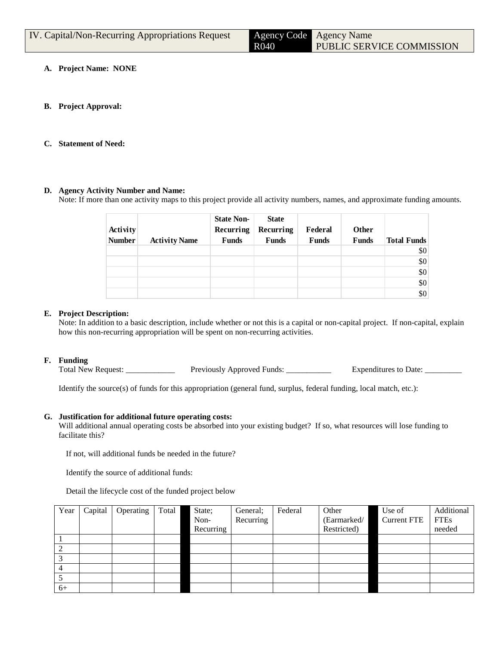| IV. Capital/Non-Recurring Appropriations Request |      | Agency Code Agency Name   |
|--------------------------------------------------|------|---------------------------|
|                                                  | R040 | PUBLIC SERVICE COMMISSION |

- **A. Project Name: NONE**
- **B. Project Approval:**
- **C. Statement of Need:**

## **D. Agency Activity Number and Name:**

Note: If more than one activity maps to this project provide all activity numbers, names, and approximate funding amounts.

| Activity<br><b>Number</b> | <b>Activity Name</b> | <b>State Non-</b><br>Recurring<br><b>Funds</b> | <b>State</b><br>Recurring<br><b>Funds</b> | Federal<br>Funds | <b>Other</b><br><b>Funds</b> | <b>Total Funds</b> |
|---------------------------|----------------------|------------------------------------------------|-------------------------------------------|------------------|------------------------------|--------------------|
|                           |                      |                                                |                                           |                  |                              | \$0                |
|                           |                      |                                                |                                           |                  |                              | \$0                |
|                           |                      |                                                |                                           |                  |                              | \$0                |
|                           |                      |                                                |                                           |                  |                              | \$0                |
|                           |                      |                                                |                                           |                  |                              | \$0                |

## **E. Project Description:**

Note: In addition to a basic description, include whether or not this is a capital or non-capital project. If non-capital, explain how this non-recurring appropriation will be spent on non-recurring activities.

#### **F. Funding**

Total New Request: \_\_\_\_\_\_\_\_\_\_\_\_\_\_ Previously Approved Funds: \_\_\_\_\_\_\_\_\_\_\_\_ Expenditures to Date: \_\_\_\_\_\_\_\_\_

Identify the source(s) of funds for this appropriation (general fund, surplus, federal funding, local match, etc.):

#### **G. Justification for additional future operating costs:**

Will additional annual operating costs be absorbed into your existing budget? If so, what resources will lose funding to facilitate this?

If not, will additional funds be needed in the future?

Identify the source of additional funds:

Detail the lifecycle cost of the funded project below

| Year | Capital | Operating | Total | State;    | General;  | Federal | Other       | Use of             | Additional  |
|------|---------|-----------|-------|-----------|-----------|---------|-------------|--------------------|-------------|
|      |         |           |       | Non-      | Recurring |         | (Earmarked/ | <b>Current FTE</b> | <b>FTEs</b> |
|      |         |           |       | Recurring |           |         | Restricted) |                    | needed      |
|      |         |           |       |           |           |         |             |                    |             |
|      |         |           |       |           |           |         |             |                    |             |
| ⌒    |         |           |       |           |           |         |             |                    |             |
|      |         |           |       |           |           |         |             |                    |             |
|      |         |           |       |           |           |         |             |                    |             |
| $6+$ |         |           |       |           |           |         |             |                    |             |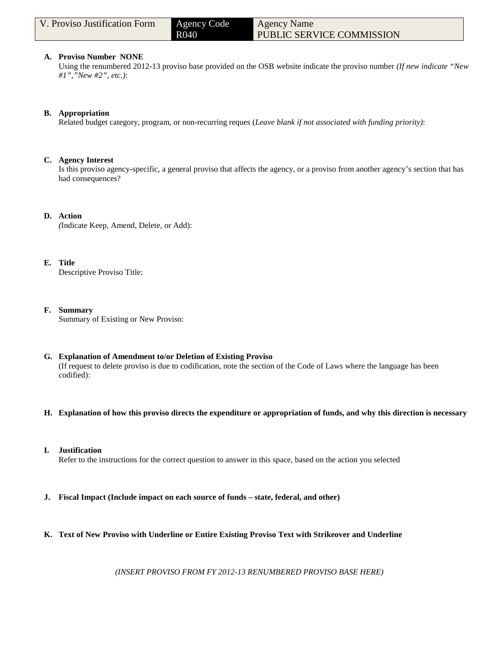| V. Proviso Justification Form | Agency Code       | <b>Agency Name</b>        |  |
|-------------------------------|-------------------|---------------------------|--|
|                               | R <sub>04</sub> 0 | PUBLIC SERVICE COMMISSION |  |

#### **A. Proviso Number NONE**

Using the renumbered 2012-13 proviso base provided on the OSB website indicate the proviso number *(If new indicate "New #1","New #2", etc.)*:

## **B. Appropriation**

Related budget category, program, or non-recurring reques (*Leave blank if not associated with funding priority)*:

#### **C. Agency Interest**

Is this proviso agency-specific, a general proviso that affects the agency, or a proviso from another agency's section that has had consequences?

## **D. Action**

*(*Indicate Keep, Amend, Delete, or Add):

#### **E. Title**

Descriptive Proviso Title:

## **F. Summary**

Summary of Existing or New Proviso:

## **G. Explanation of Amendment to/or Deletion of Existing Proviso**

(If request to delete proviso is due to codification, note the section of the Code of Laws where the language has been codified):

## **H. Explanation of how this proviso directs the expenditure or appropriation of funds, and why this direction is necessary**

## **I. Justification**

Refer to the instructions for the correct question to answer in this space, based on the action you selected

- **J. Fiscal Impact (Include impact on each source of funds – state, federal, and other)**
- **K. Text of New Proviso with Underline or Entire Existing Proviso Text with Strikeover and Underline**

*(INSERT PROVISO FROM FY 2012-13 RENUMBERED PROVISO BASE HERE)*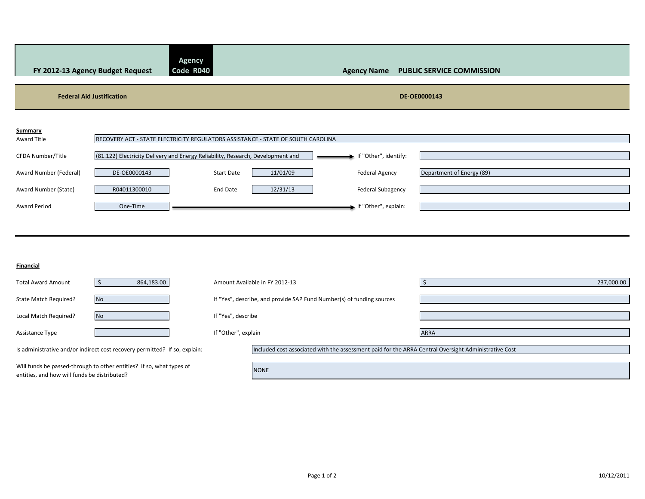| FY 2012-13 Agency Budget Request                                                                                     |                          | <b>Agency</b><br>Code R040                                                                           | <b>Agency Name</b>                                                                                   | <b>PUBLIC SERVICE COMMISSION</b> |            |  |
|----------------------------------------------------------------------------------------------------------------------|--------------------------|------------------------------------------------------------------------------------------------------|------------------------------------------------------------------------------------------------------|----------------------------------|------------|--|
| <b>Federal Aid Justification</b>                                                                                     |                          |                                                                                                      |                                                                                                      | DE-OE0000143                     |            |  |
| <b>Summary</b><br>Award Title                                                                                        |                          | RECOVERY ACT - STATE ELECTRICITY REGULATORS ASSISTANCE - STATE OF SOUTH CAROLINA                     |                                                                                                      |                                  |            |  |
| CFDA Number/Title<br>Award Number (Federal)                                                                          | DE-OE0000143             | (81.122) Electricity Delivery and Energy Reliability, Research, Development and<br><b>Start Date</b> | If "Other", identify:<br>11/01/09<br><b>Federal Agency</b>                                           | Department of Energy (89)        |            |  |
| Award Number (State)<br><b>Award Period</b>                                                                          | R04011300010<br>One-Time | <b>End Date</b>                                                                                      | 12/31/13<br><b>Federal Subagency</b><br>If "Other", explain:                                         |                                  |            |  |
|                                                                                                                      |                          |                                                                                                      |                                                                                                      |                                  |            |  |
| Financial                                                                                                            |                          |                                                                                                      |                                                                                                      |                                  |            |  |
| <b>Total Award Amount</b>                                                                                            | 864,183.00<br>$\zeta$    | Amount Available in FY 2012-13                                                                       |                                                                                                      | -Ś                               | 237,000.00 |  |
| State Match Required?                                                                                                | <b>No</b>                |                                                                                                      | If "Yes", describe, and provide SAP Fund Number(s) of funding sources                                |                                  |            |  |
| Local Match Required?                                                                                                | <b>No</b>                | If "Yes", describe                                                                                   |                                                                                                      |                                  |            |  |
| Assistance Type                                                                                                      |                          | If "Other", explain                                                                                  |                                                                                                      | <b>ARRA</b>                      |            |  |
| Is administrative and/or indirect cost recovery permitted? If so, explain:                                           |                          |                                                                                                      | Included cost associated with the assessment paid for the ARRA Central Oversight Administrative Cost |                                  |            |  |
| Will funds be passed-through to other entities? If so, what types of<br>entities, and how will funds be distributed? |                          | <b>NONE</b>                                                                                          |                                                                                                      |                                  |            |  |